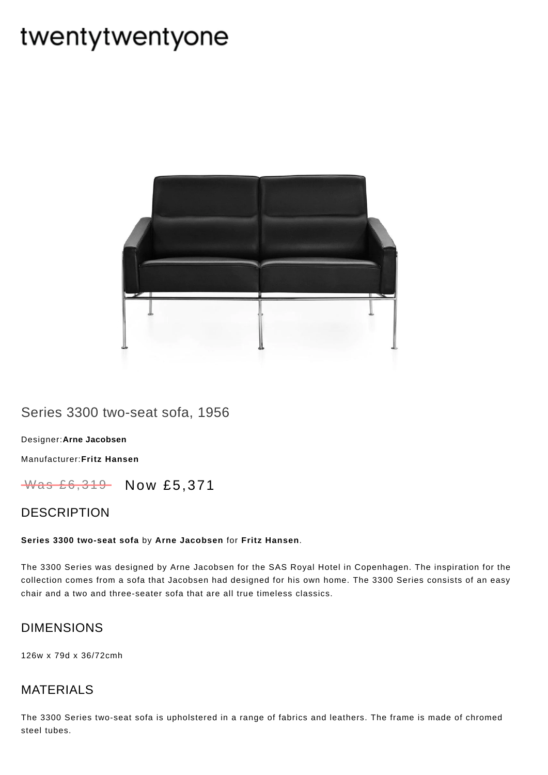# twentytwentyone



## Series 3300 two-seat sofa, 1956

[Designer:](https://www.twentytwentyone.com/collections/designers-arne-jacobsen)**Arne Jacobsen**

[Manufacturer:](https://www.twentytwentyone.com/collections/manufacturers-fritz-hansen)**Fritz Hansen**

Was £6,319 Now £5,371

### DESCRIPTION

#### **Series 3300 two-seat sofa** by **Arne [Jacobsen](http://twentytwentyone.com/designer/arne-jacobsen)** for **Fritz [Hansen](http://twentytwentyone.com/manufacturer/fritz-hansen)**.

The 3300 Series was designed by Arne Jacobsen for the SAS Royal Hotel in Copenhagen. The inspiration for the collection comes from a sofa that Jacobsen had designed for his own home. The 3300 Series consists of an easy chair and a two and three-seater sofa that are all true timeless classics.

## DIMENSIONS

126w x 79d x 36/72cmh

## MATERIALS

The 3300 Series two-seat sofa is upholstered in a range of fabrics and leathers. The frame is made of chromed steel tubes.